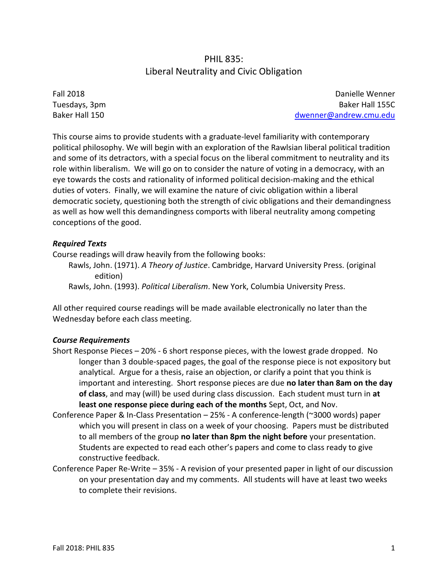# PHIL 835: Liberal Neutrality and Civic Obligation

Fall 2018 Tuesdays, 3pm Baker Hall 150

Danielle Wenner Baker Hall 155C [dwenner@andrew.cmu.edu](mailto:dwenner@andrew.cmu.edu)

This course aims to provide students with a graduate-level familiarity with contemporary political philosophy. We will begin with an exploration of the Rawlsian liberal political tradition and some of its detractors, with a special focus on the liberal commitment to neutrality and its role within liberalism. We will go on to consider the nature of voting in a democracy, with an eye towards the costs and rationality of informed political decision-making and the ethical duties of voters. Finally, we will examine the nature of civic obligation within a liberal democratic society, questioning both the strength of civic obligations and their demandingness as well as how well this demandingness comports with liberal neutrality among competing conceptions of the good.

## *Required Texts*

Course readings will draw heavily from the following books:

Rawls, John. (1971). *A Theory of Justice*. Cambridge, Harvard University Press. (original edition)

Rawls, John. (1993). *Political Liberalism*. New York, Columbia University Press.

All other required course readings will be made available electronically no later than the Wednesday before each class meeting.

## *Course Requirements*

- Short Response Pieces 20% 6 short response pieces, with the lowest grade dropped. No longer than 3 double-spaced pages, the goal of the response piece is not expository but analytical. Argue for a thesis, raise an objection, or clarify a point that you think is important and interesting. Short response pieces are due **no later than 8am on the day of class**, and may (will) be used during class discussion. Each student must turn in **at least one response piece during each of the months** Sept, Oct, and Nov.
- Conference Paper & In-Class Presentation 25% A conference-length (~3000 words) paper which you will present in class on a week of your choosing. Papers must be distributed to all members of the group **no later than 8pm the night before** your presentation. Students are expected to read each other's papers and come to class ready to give constructive feedback.
- Conference Paper Re-Write 35% A revision of your presented paper in light of our discussion on your presentation day and my comments. All students will have at least two weeks to complete their revisions.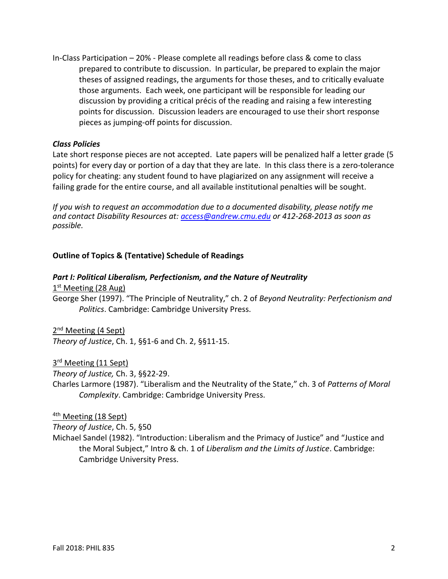In-Class Participation – 20% - Please complete all readings before class & come to class prepared to contribute to discussion. In particular, be prepared to explain the major theses of assigned readings, the arguments for those theses, and to critically evaluate those arguments. Each week, one participant will be responsible for leading our discussion by providing a critical précis of the reading and raising a few interesting points for discussion. Discussion leaders are encouraged to use their short response pieces as jumping-off points for discussion.

#### *Class Policies*

Late short response pieces are not accepted. Late papers will be penalized half a letter grade (5 points) for every day or portion of a day that they are late. In this class there is a zero-tolerance policy for cheating: any student found to have plagiarized on any assignment will receive a failing grade for the entire course, and all available institutional penalties will be sought.

*If you wish to request an accommodation due to a documented disability, please notify me and contact Disability Resources at: [access@andrew.cmu.edu](mailto:access@andrew.cmu.edu) or 412-268-2013 as soon as possible.*

## **Outline of Topics & (Tentative) Schedule of Readings**

#### *Part I: Political Liberalism, Perfectionism, and the Nature of Neutrality*

1<sup>st</sup> Meeting (28 Aug)

George Sher (1997). "The Principle of Neutrality," ch. 2 of *Beyond Neutrality: Perfectionism and Politics*. Cambridge: Cambridge University Press.

2<sup>nd</sup> Meeting (4 Sept)

*Theory of Justice*, Ch. 1, §§1-6 and Ch. 2, §§11-15.

3<sup>rd</sup> Meeting (11 Sept)

*Theory of Justice,* Ch. 3, §§22-29.

Charles Larmore (1987). "Liberalism and the Neutrality of the State," ch. 3 of *Patterns of Moral Complexity*. Cambridge: Cambridge University Press.

#### <sup>4th</sup> Meeting (18 Sept)

*Theory of Justice*, Ch. 5, §50

Michael Sandel (1982). "Introduction: Liberalism and the Primacy of Justice" and "Justice and the Moral Subject," Intro & ch. 1 of *Liberalism and the Limits of Justice*. Cambridge: Cambridge University Press.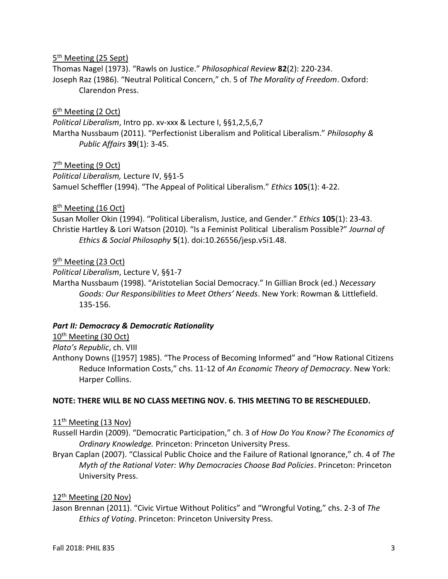# 5<sup>th</sup> Meeting (25 Sept)

Thomas Nagel (1973). "Rawls on Justice." *Philosophical Review* **82**(2): 220-234. Joseph Raz (1986). "Neutral Political Concern," ch. 5 of *The Morality of Freedom*. Oxford: Clarendon Press.

## 6<sup>th</sup> Meeting (2 Oct)

*Political Liberalism*, Intro pp. xv-xxx & Lecture I, §§1,2,5,6,7 Martha Nussbaum (2011). "Perfectionist Liberalism and Political Liberalism." *Philosophy & Public Affairs* **39**(1): 3-45.

## 7<sup>th</sup> Meeting (9 Oct)

*Political Liberalism,* Lecture IV, §§1-5 Samuel Scheffler (1994). "The Appeal of Political Liberalism." *Ethics* **105**(1): 4-22.

8<sup>th</sup> Meeting (16 Oct)

Susan Moller Okin (1994). "Political Liberalism, Justice, and Gender." *Ethics* **105**(1): 23-43. Christie Hartley & Lori Watson (2010). "Is a Feminist Political Liberalism Possible?" *Journal of Ethics & Social Philosophy* **5**(1). doi:10.26556/jesp.v5i1.48.

# 9<sup>th</sup> Meeting (23 Oct)

*Political Liberalism*, Lecture V, §§1-7

Martha Nussbaum (1998). "Aristotelian Social Democracy." In Gillian Brock (ed.) *Necessary Goods: Our Responsibilities to Meet Others' Needs*. New York: Rowman & Littlefield. 135-156.

## *Part II: Democracy & Democratic Rationality*

10<sup>th</sup> Meeting (30 Oct)

*Plato's Republic*, ch. VIII

Anthony Downs ([1957] 1985). "The Process of Becoming Informed" and "How Rational Citizens Reduce Information Costs," chs. 11-12 of *An Economic Theory of Democracy*. New York: Harper Collins.

## **NOTE: THERE WILL BE NO CLASS MEETING NOV. 6. THIS MEETING TO BE RESCHEDULED.**

11<sup>th</sup> Meeting (13 Nov)

Russell Hardin (2009). "Democratic Participation," ch. 3 of *How Do You Know? The Economics of Ordinary Knowledge.* Princeton: Princeton University Press.

Bryan Caplan (2007). "Classical Public Choice and the Failure of Rational Ignorance," ch. 4 of *The Myth of the Rational Voter: Why Democracies Choose Bad Policies*. Princeton: Princeton University Press.

# 12th Meeting (20 Nov)

Jason Brennan (2011). "Civic Virtue Without Politics" and "Wrongful Voting," chs. 2-3 of *The Ethics of Voting*. Princeton: Princeton University Press.